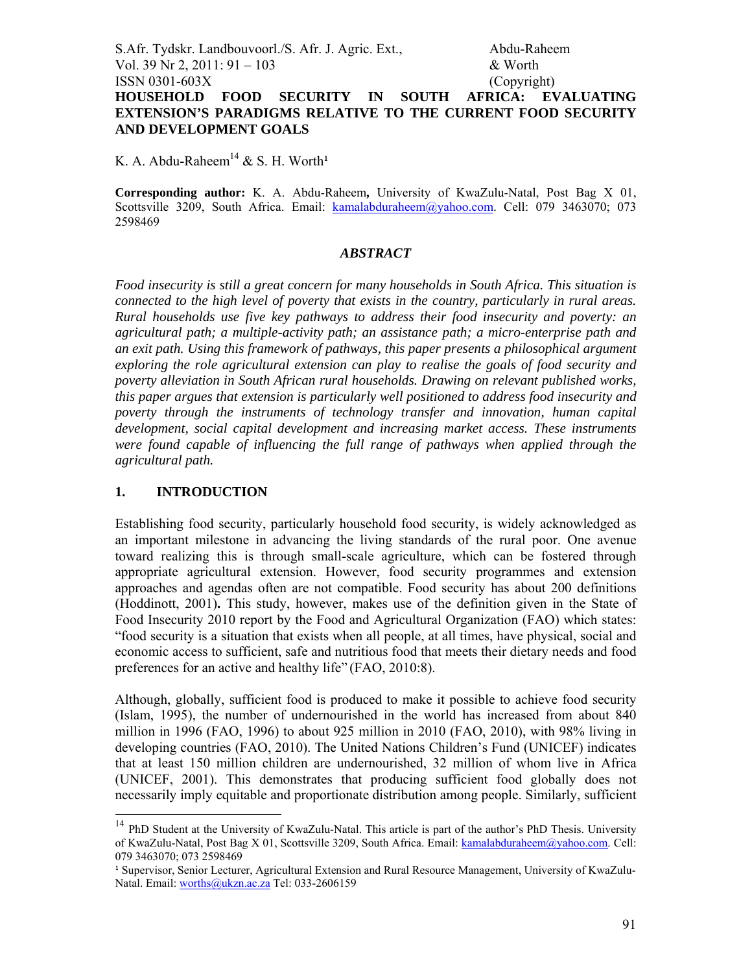S.Afr. Tydskr. Landbouvoorl./S. Afr. J. Agric. Ext., Abdu-Raheem Vol. 39 Nr 2, 2011: 91 – 103 & Worth ISSN 0301-603X (Copyright) **HOUSEHOLD FOOD SECURITY IN SOUTH AFRICA: EVALUATING EXTENSION'S PARADIGMS RELATIVE TO THE CURRENT FOOD SECURITY AND DEVELOPMENT GOALS**

K. A. Abdu-Raheem<sup>14</sup> & S. H. Worth<sup>1</sup>

**Corresponding author:** K. A. Abdu-Raheem**,** University of KwaZulu-Natal, Post Bag X 01, Scottsville 3209, South Africa. Email: kamalabduraheem@yahoo.com. Cell: 079 3463070; 073 2598469

#### *ABSTRACT*

*Food insecurity is still a great concern for many households in South Africa. This situation is connected to the high level of poverty that exists in the country, particularly in rural areas. Rural households use five key pathways to address their food insecurity and poverty: an agricultural path; a multiple-activity path; an assistance path; a micro-enterprise path and an exit path. Using this framework of pathways, this paper presents a philosophical argument exploring the role agricultural extension can play to realise the goals of food security and poverty alleviation in South African rural households. Drawing on relevant published works, this paper argues that extension is particularly well positioned to address food insecurity and poverty through the instruments of technology transfer and innovation, human capital development, social capital development and increasing market access. These instruments were found capable of influencing the full range of pathways when applied through the agricultural path.* 

### **1. INTRODUCTION**

-

Establishing food security, particularly household food security, is widely acknowledged as an important milestone in advancing the living standards of the rural poor. One avenue toward realizing this is through small-scale agriculture, which can be fostered through appropriate agricultural extension. However, food security programmes and extension approaches and agendas often are not compatible. Food security has about 200 definitions (Hoddinott, 2001)**.** This study, however, makes use of the definition given in the State of Food Insecurity 2010 report by the Food and Agricultural Organization (FAO) which states: "food security is a situation that exists when all people, at all times, have physical, social and economic access to sufficient, safe and nutritious food that meets their dietary needs and food preferences for an active and healthy life" (FAO, 2010:8).

Although, globally, sufficient food is produced to make it possible to achieve food security (Islam, 1995), the number of undernourished in the world has increased from about 840 million in 1996 (FAO, 1996) to about 925 million in 2010 (FAO, 2010), with 98% living in developing countries (FAO, 2010). The United Nations Children's Fund (UNICEF) indicates that at least 150 million children are undernourished, 32 million of whom live in Africa (UNICEF, 2001). This demonstrates that producing sufficient food globally does not necessarily imply equitable and proportionate distribution among people. Similarly, sufficient

<sup>&</sup>lt;sup>14</sup> PhD Student at the University of KwaZulu-Natal. This article is part of the author's PhD Thesis. University of KwaZulu-Natal, Post Bag X 01, Scottsville 3209, South Africa. Email: kamalabduraheem@yahoo.com. Cell: 079 3463070; 073 2598469

<sup>&</sup>lt;sup>1</sup> Supervisor, Senior Lecturer, Agricultural Extension and Rural Resource Management, University of KwaZulu-Natal. Email: worths@ukzn.ac.za Tel: 033-2606159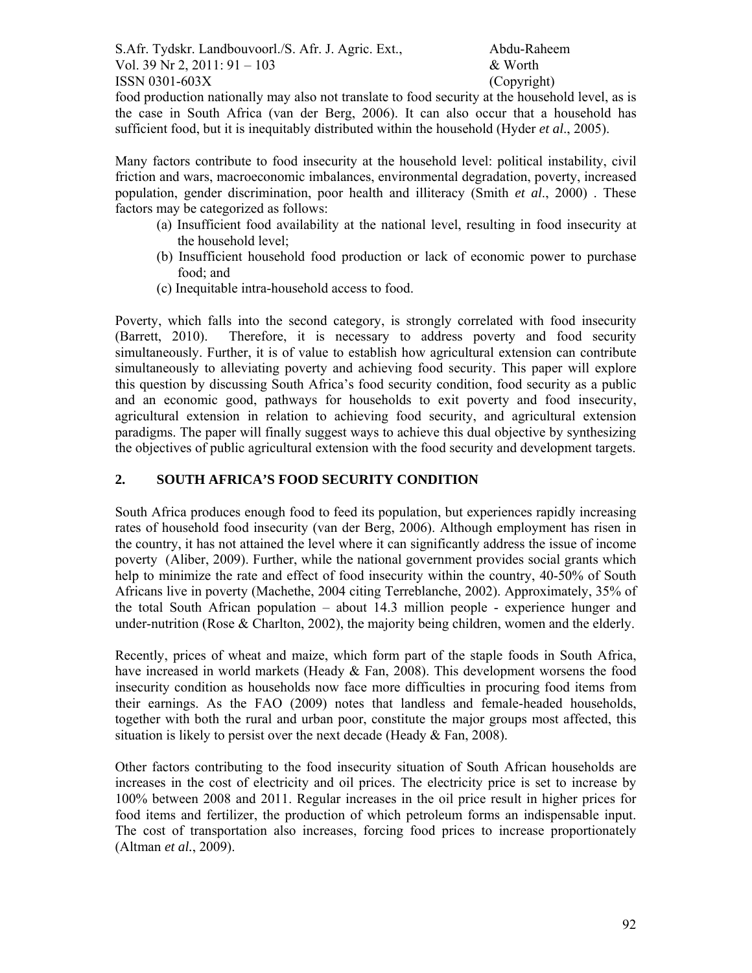S.Afr. Tydskr. Landbouvoorl./S. Afr. J. Agric. Ext., Abdu-Raheem Vol. 39 Nr 2, 2011:  $91 - 103$  & Worth  $\text{ISSN } 0301 - 603X$  (Copyright)

food production nationally may also not translate to food security at the household level, as is the case in South Africa (van der Berg, 2006). It can also occur that a household has sufficient food, but it is inequitably distributed within the household (Hyder *et al*., 2005).

Many factors contribute to food insecurity at the household level: political instability, civil friction and wars, macroeconomic imbalances, environmental degradation, poverty, increased population, gender discrimination, poor health and illiteracy (Smith *et al*., 2000) . These factors may be categorized as follows:

- (a) Insufficient food availability at the national level, resulting in food insecurity at the household level;
- (b) Insufficient household food production or lack of economic power to purchase food; and
- (c) Inequitable intra-household access to food.

Poverty, which falls into the second category, is strongly correlated with food insecurity (Barrett, 2010). Therefore, it is necessary to address poverty and food security simultaneously. Further, it is of value to establish how agricultural extension can contribute simultaneously to alleviating poverty and achieving food security. This paper will explore this question by discussing South Africa's food security condition, food security as a public and an economic good, pathways for households to exit poverty and food insecurity, agricultural extension in relation to achieving food security, and agricultural extension paradigms. The paper will finally suggest ways to achieve this dual objective by synthesizing the objectives of public agricultural extension with the food security and development targets.

# **2. SOUTH AFRICA'S FOOD SECURITY CONDITION**

South Africa produces enough food to feed its population, but experiences rapidly increasing rates of household food insecurity (van der Berg, 2006). Although employment has risen in the country, it has not attained the level where it can significantly address the issue of income poverty (Aliber, 2009). Further, while the national government provides social grants which help to minimize the rate and effect of food insecurity within the country, 40-50% of South Africans live in poverty (Machethe, 2004 citing Terreblanche, 2002). Approximately, 35% of the total South African population – about 14.3 million people - experience hunger and under-nutrition (Rose  $\&$  Charlton, 2002), the majority being children, women and the elderly.

Recently, prices of wheat and maize, which form part of the staple foods in South Africa, have increased in world markets (Heady & Fan, 2008). This development worsens the food insecurity condition as households now face more difficulties in procuring food items from their earnings. As the FAO (2009) notes that landless and female-headed households, together with both the rural and urban poor, constitute the major groups most affected, this situation is likely to persist over the next decade (Heady  $& Fan, 2008$ ).

Other factors contributing to the food insecurity situation of South African households are increases in the cost of electricity and oil prices. The electricity price is set to increase by 100% between 2008 and 2011. Regular increases in the oil price result in higher prices for food items and fertilizer, the production of which petroleum forms an indispensable input. The cost of transportation also increases, forcing food prices to increase proportionately (Altman *et al.*, 2009).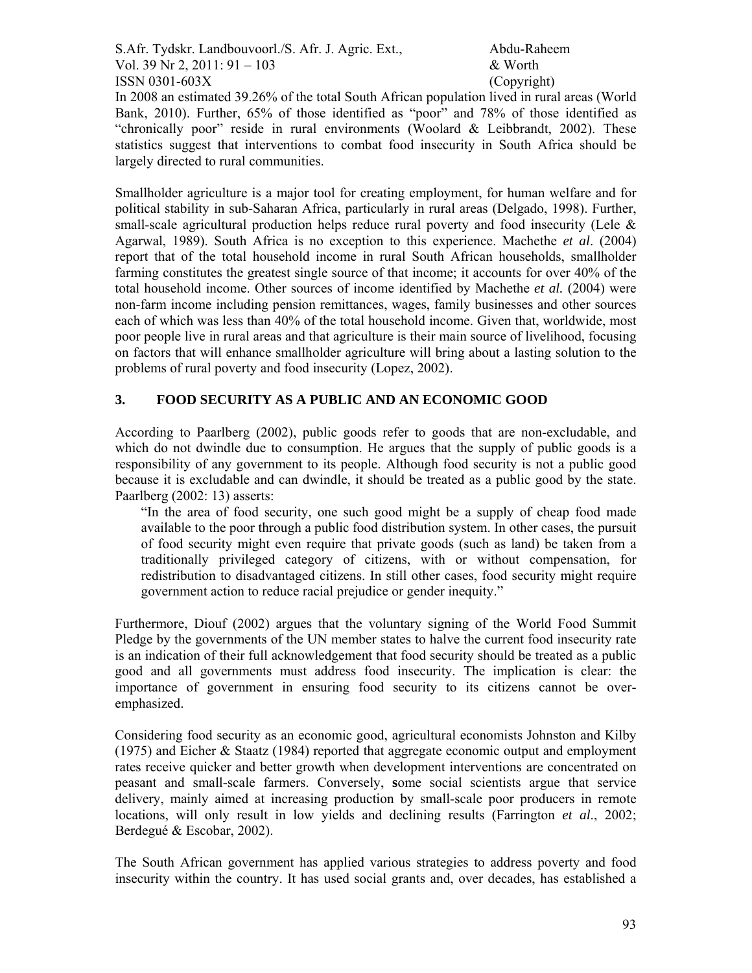S.Afr. Tydskr. Landbouvoorl./S. Afr. J. Agric. Ext., Abdu-Raheem Vol. 39 Nr 2, 2011:  $91 - 103$  & Worth  $\text{ISSN } 0301 - 603X$  (Copyright)

In 2008 an estimated 39.26% of the total South African population lived in rural areas (World Bank, 2010). Further, 65% of those identified as "poor" and 78% of those identified as "chronically poor" reside in rural environments (Woolard  $&$  Leibbrandt, 2002). These statistics suggest that interventions to combat food insecurity in South Africa should be largely directed to rural communities.

Smallholder agriculture is a major tool for creating employment, for human welfare and for political stability in sub-Saharan Africa, particularly in rural areas (Delgado, 1998). Further, small-scale agricultural production helps reduce rural poverty and food insecurity (Lele  $\&$ Agarwal, 1989). South Africa is no exception to this experience. Machethe *et al*. (2004) report that of the total household income in rural South African households, smallholder farming constitutes the greatest single source of that income; it accounts for over 40% of the total household income. Other sources of income identified by Machethe *et al.* (2004) were non-farm income including pension remittances, wages, family businesses and other sources each of which was less than 40% of the total household income. Given that, worldwide, most poor people live in rural areas and that agriculture is their main source of livelihood, focusing on factors that will enhance smallholder agriculture will bring about a lasting solution to the problems of rural poverty and food insecurity (Lopez, 2002).

## **3. FOOD SECURITY AS A PUBLIC AND AN ECONOMIC GOOD**

According to Paarlberg (2002), public goods refer to goods that are non-excludable, and which do not dwindle due to consumption. He argues that the supply of public goods is a responsibility of any government to its people. Although food security is not a public good because it is excludable and can dwindle, it should be treated as a public good by the state. Paarlberg (2002: 13) asserts:

"In the area of food security, one such good might be a supply of cheap food made available to the poor through a public food distribution system. In other cases, the pursuit of food security might even require that private goods (such as land) be taken from a traditionally privileged category of citizens, with or without compensation, for redistribution to disadvantaged citizens. In still other cases, food security might require government action to reduce racial prejudice or gender inequity."

Furthermore, Diouf (2002) argues that the voluntary signing of the World Food Summit Pledge by the governments of the UN member states to halve the current food insecurity rate is an indication of their full acknowledgement that food security should be treated as a public good and all governments must address food insecurity. The implication is clear: the importance of government in ensuring food security to its citizens cannot be overemphasized.

Considering food security as an economic good, agricultural economists Johnston and Kilby (1975) and Eicher & Staatz (1984) reported that aggregate economic output and employment rates receive quicker and better growth when development interventions are concentrated on peasant and small-scale farmers. Conversely, **s**ome social scientists argue that service delivery, mainly aimed at increasing production by small-scale poor producers in remote locations, will only result in low yields and declining results (Farrington *et al*., 2002; Berdegué & Escobar, 2002).

The South African government has applied various strategies to address poverty and food insecurity within the country. It has used social grants and, over decades, has established a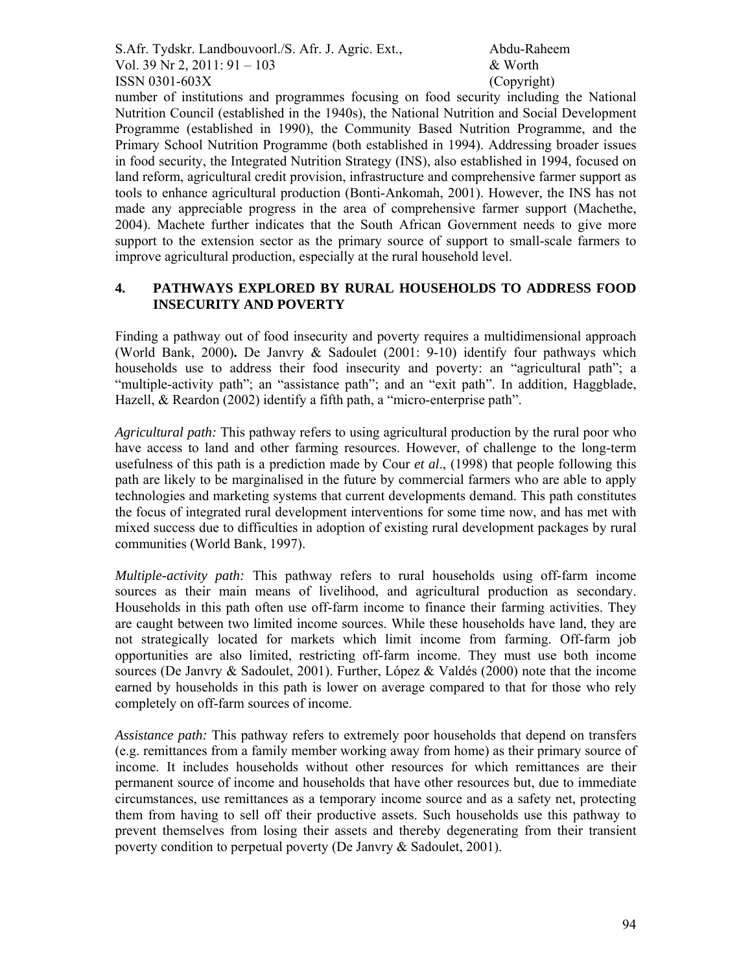S.Afr. Tydskr. Landbouvoorl./S. Afr. J. Agric. Ext., Abdu-Raheem Vol. 39 Nr 2, 2011:  $91 - 103$  & Worth  $\text{ISSN } 0301 - 603X$  (Copyright)

number of institutions and programmes focusing on food security including the National Nutrition Council (established in the 1940s), the National Nutrition and Social Development Programme (established in 1990), the Community Based Nutrition Programme, and the Primary School Nutrition Programme (both established in 1994). Addressing broader issues in food security, the Integrated Nutrition Strategy (INS), also established in 1994, focused on land reform, agricultural credit provision, infrastructure and comprehensive farmer support as tools to enhance agricultural production (Bonti-Ankomah, 2001). However, the INS has not made any appreciable progress in the area of comprehensive farmer support (Machethe, 2004). Machete further indicates that the South African Government needs to give more support to the extension sector as the primary source of support to small-scale farmers to improve agricultural production, especially at the rural household level.

### **4. PATHWAYS EXPLORED BY RURAL HOUSEHOLDS TO ADDRESS FOOD INSECURITY AND POVERTY**

Finding a pathway out of food insecurity and poverty requires a multidimensional approach (World Bank, 2000)**.** De Janvry & Sadoulet (2001: 9-10) identify four pathways which households use to address their food insecurity and poverty: an "agricultural path"; a "multiple-activity path"; an "assistance path"; and an "exit path". In addition, Haggblade, Hazell, & Reardon (2002) identify a fifth path, a "micro-enterprise path".

*Agricultural path:* This pathway refers to using agricultural production by the rural poor who have access to land and other farming resources. However, of challenge to the long-term usefulness of this path is a prediction made by Cour *et al*., (1998) that people following this path are likely to be marginalised in the future by commercial farmers who are able to apply technologies and marketing systems that current developments demand. This path constitutes the focus of integrated rural development interventions for some time now, and has met with mixed success due to difficulties in adoption of existing rural development packages by rural communities (World Bank, 1997).

*Multiple-activity path:* This pathway refers to rural households using off-farm income sources as their main means of livelihood, and agricultural production as secondary. Households in this path often use off-farm income to finance their farming activities. They are caught between two limited income sources. While these households have land, they are not strategically located for markets which limit income from farming. Off-farm job opportunities are also limited, restricting off-farm income. They must use both income sources (De Janvry & Sadoulet, 2001). Further, López & Valdés (2000) note that the income earned by households in this path is lower on average compared to that for those who rely completely on off-farm sources of income.

*Assistance path:* This pathway refers to extremely poor households that depend on transfers (e.g. remittances from a family member working away from home) as their primary source of income. It includes households without other resources for which remittances are their permanent source of income and households that have other resources but, due to immediate circumstances, use remittances as a temporary income source and as a safety net, protecting them from having to sell off their productive assets. Such households use this pathway to prevent themselves from losing their assets and thereby degenerating from their transient poverty condition to perpetual poverty (De Janvry & Sadoulet, 2001).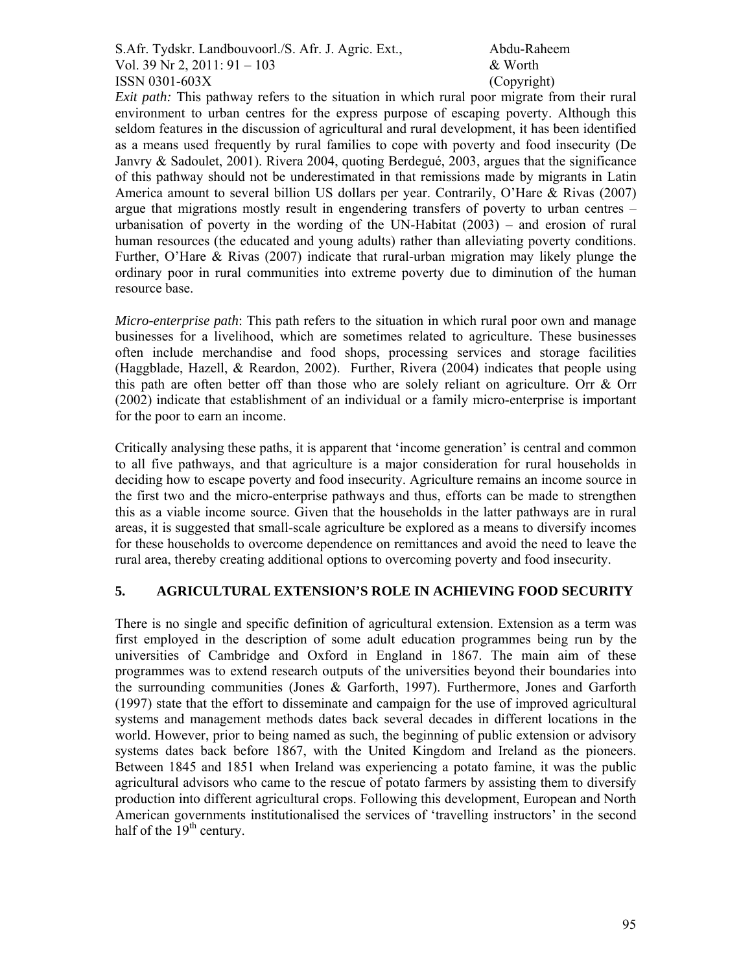S.Afr. Tydskr. Landbouvoorl./S. Afr. J. Agric. Ext., Abdu-Raheem Vol. 39 Nr 2, 2011:  $91 - 103$  & Worth ISSN 0301-603X (Copyright)

*Exit path:* This pathway refers to the situation in which rural poor migrate from their rural environment to urban centres for the express purpose of escaping poverty. Although this seldom features in the discussion of agricultural and rural development, it has been identified as a means used frequently by rural families to cope with poverty and food insecurity (De Janvry & Sadoulet, 2001). Rivera 2004, quoting Berdegué, 2003, argues that the significance of this pathway should not be underestimated in that remissions made by migrants in Latin America amount to several billion US dollars per year. Contrarily, O'Hare & Rivas (2007) argue that migrations mostly result in engendering transfers of poverty to urban centres – urbanisation of poverty in the wording of the UN-Habitat (2003) – and erosion of rural human resources (the educated and young adults) rather than alleviating poverty conditions. Further, O'Hare & Rivas (2007) indicate that rural-urban migration may likely plunge the ordinary poor in rural communities into extreme poverty due to diminution of the human resource base.

*Micro-enterprise path*: This path refers to the situation in which rural poor own and manage businesses for a livelihood, which are sometimes related to agriculture. These businesses often include merchandise and food shops, processing services and storage facilities (Haggblade, Hazell, & Reardon, 2002). Further, Rivera (2004) indicates that people using this path are often better off than those who are solely reliant on agriculture. Orr & Orr (2002) indicate that establishment of an individual or a family micro-enterprise is important for the poor to earn an income.

Critically analysing these paths, it is apparent that 'income generation' is central and common to all five pathways, and that agriculture is a major consideration for rural households in deciding how to escape poverty and food insecurity. Agriculture remains an income source in the first two and the micro-enterprise pathways and thus, efforts can be made to strengthen this as a viable income source. Given that the households in the latter pathways are in rural areas, it is suggested that small-scale agriculture be explored as a means to diversify incomes for these households to overcome dependence on remittances and avoid the need to leave the rural area, thereby creating additional options to overcoming poverty and food insecurity.

### **5. AGRICULTURAL EXTENSION'S ROLE IN ACHIEVING FOOD SECURITY**

There is no single and specific definition of agricultural extension. Extension as a term was first employed in the description of some adult education programmes being run by the universities of Cambridge and Oxford in England in 1867. The main aim of these programmes was to extend research outputs of the universities beyond their boundaries into the surrounding communities (Jones & Garforth, 1997). Furthermore, Jones and Garforth (1997) state that the effort to disseminate and campaign for the use of improved agricultural systems and management methods dates back several decades in different locations in the world. However, prior to being named as such, the beginning of public extension or advisory systems dates back before 1867, with the United Kingdom and Ireland as the pioneers. Between 1845 and 1851 when Ireland was experiencing a potato famine, it was the public agricultural advisors who came to the rescue of potato farmers by assisting them to diversify production into different agricultural crops. Following this development, European and North American governments institutionalised the services of 'travelling instructors' in the second half of the  $19<sup>th</sup>$  century.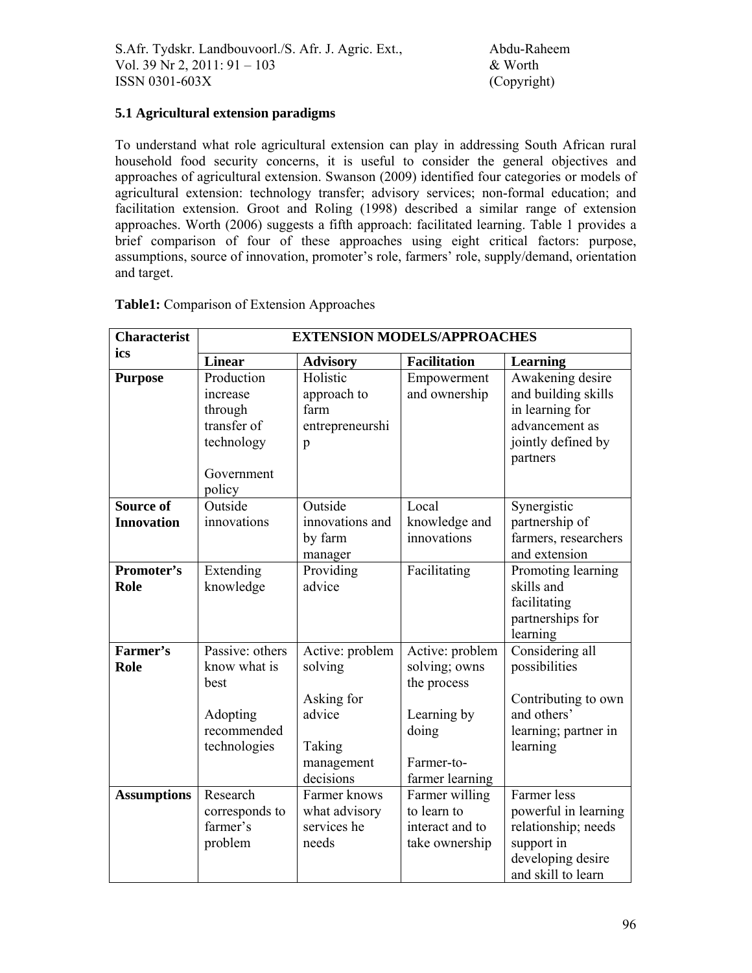# **5.1 Agricultural extension paradigms**

To understand what role agricultural extension can play in addressing South African rural household food security concerns, it is useful to consider the general objectives and approaches of agricultural extension. Swanson (2009) identified four categories or models of agricultural extension: technology transfer; advisory services; non-formal education; and facilitation extension. Groot and Roling (1998) described a similar range of extension approaches. Worth (2006) suggests a fifth approach: facilitated learning. Table 1 provides a brief comparison of four of these approaches using eight critical factors: purpose, assumptions, source of innovation, promoter's role, farmers' role, supply/demand, orientation and target.

| <b>Characterist</b>                   | <b>EXTENSION MODELS/APPROACHES</b>                                                     |                                                                                         |                                                                                                          |                                                                                                                     |  |  |
|---------------------------------------|----------------------------------------------------------------------------------------|-----------------------------------------------------------------------------------------|----------------------------------------------------------------------------------------------------------|---------------------------------------------------------------------------------------------------------------------|--|--|
| ics                                   | <b>Linear</b>                                                                          | <b>Advisory</b>                                                                         | <b>Facilitation</b>                                                                                      | <b>Learning</b>                                                                                                     |  |  |
| <b>Purpose</b>                        | Production<br>increase<br>through<br>transfer of<br>technology<br>Government<br>policy | Holistic<br>approach to<br>farm<br>entrepreneurshi<br>p                                 | Empowerment<br>and ownership                                                                             | Awakening desire<br>and building skills<br>in learning for<br>advancement as<br>jointly defined by<br>partners      |  |  |
| <b>Source of</b><br><b>Innovation</b> | Outside<br>innovations                                                                 | Outside<br>innovations and<br>by farm<br>manager                                        | Local<br>knowledge and<br>innovations                                                                    | Synergistic<br>partnership of<br>farmers, researchers<br>and extension                                              |  |  |
| Promoter's<br>Role                    | Extending<br>knowledge                                                                 | Providing<br>advice                                                                     | Facilitating                                                                                             | Promoting learning<br>skills and<br>facilitating<br>partnerships for<br>learning                                    |  |  |
| Farmer's<br>Role                      | Passive: others<br>know what is<br>best<br>Adopting<br>recommended<br>technologies     | Active: problem<br>solving<br>Asking for<br>advice<br>Taking<br>management<br>decisions | Active: problem<br>solving; owns<br>the process<br>Learning by<br>doing<br>Farmer-to-<br>farmer learning | Considering all<br>possibilities<br>Contributing to own<br>and others'<br>learning; partner in<br>learning          |  |  |
| <b>Assumptions</b>                    | Research<br>corresponds to<br>farmer's<br>problem                                      | Farmer knows<br>what advisory<br>services he<br>needs                                   | Farmer willing<br>to learn to<br>interact and to<br>take ownership                                       | Farmer less<br>powerful in learning<br>relationship; needs<br>support in<br>developing desire<br>and skill to learn |  |  |

### **Table1:** Comparison of Extension Approaches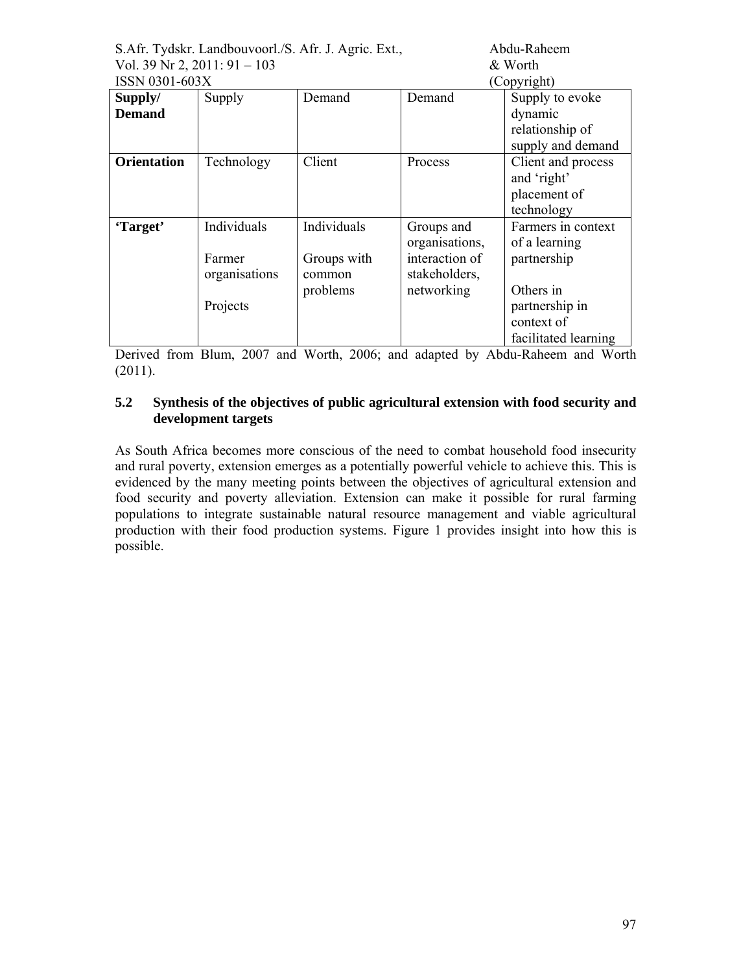|                               | S.Afr. Tydskr. Landbouvoorl./S. Afr. J. Agric. Ext., |             | Abdu-Raheem    |                      |
|-------------------------------|------------------------------------------------------|-------------|----------------|----------------------|
| Vol. 39 Nr 2, $2011:91 - 103$ |                                                      | & Worth     |                |                      |
| ISSN 0301-603X                |                                                      | (Copyright) |                |                      |
| Supply/                       | Supply                                               | Demand      | Demand         | Supply to evoke      |
| <b>Demand</b>                 |                                                      |             |                | dynamic              |
|                               |                                                      |             |                | relationship of      |
|                               |                                                      |             |                | supply and demand    |
| <b>Orientation</b>            | Technology                                           | Client      | Process        | Client and process   |
|                               |                                                      |             |                | and 'right'          |
|                               |                                                      |             |                | placement of         |
|                               |                                                      |             |                | technology           |
| 'Target'                      | Individuals                                          | Individuals | Groups and     | Farmers in context   |
|                               |                                                      |             | organisations, | of a learning        |
|                               | Farmer                                               | Groups with | interaction of | partnership          |
|                               | organisations                                        | common      | stakeholders,  |                      |
|                               |                                                      | problems    | networking     | Others in            |
|                               | Projects                                             |             |                | partnership in       |
|                               |                                                      |             |                | context of           |
|                               |                                                      |             |                | facilitated learning |

Derived from Blum, 2007 and Worth, 2006; and adapted by Abdu-Raheem and Worth (2011).

## **5.2 Synthesis of the objectives of public agricultural extension with food security and development targets**

As South Africa becomes more conscious of the need to combat household food insecurity and rural poverty, extension emerges as a potentially powerful vehicle to achieve this. This is evidenced by the many meeting points between the objectives of agricultural extension and food security and poverty alleviation. Extension can make it possible for rural farming populations to integrate sustainable natural resource management and viable agricultural production with their food production systems. Figure 1 provides insight into how this is possible.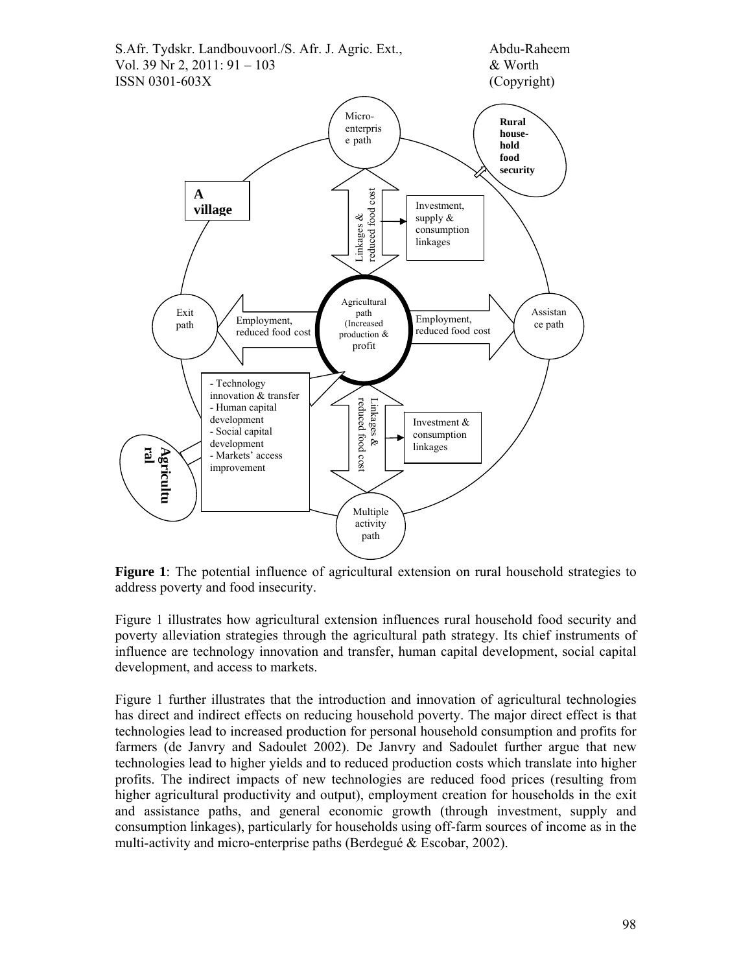

**Figure 1**: The potential influence of agricultural extension on rural household strategies to address poverty and food insecurity.

Figure 1 illustrates how agricultural extension influences rural household food security and poverty alleviation strategies through the agricultural path strategy. Its chief instruments of influence are technology innovation and transfer, human capital development, social capital development, and access to markets.

Figure 1 further illustrates that the introduction and innovation of agricultural technologies has direct and indirect effects on reducing household poverty. The major direct effect is that technologies lead to increased production for personal household consumption and profits for farmers (de Janvry and Sadoulet 2002). De Janvry and Sadoulet further argue that new technologies lead to higher yields and to reduced production costs which translate into higher profits. The indirect impacts of new technologies are reduced food prices (resulting from higher agricultural productivity and output), employment creation for households in the exit and assistance paths, and general economic growth (through investment, supply and consumption linkages), particularly for households using off-farm sources of income as in the multi-activity and micro-enterprise paths (Berdegué & Escobar, 2002).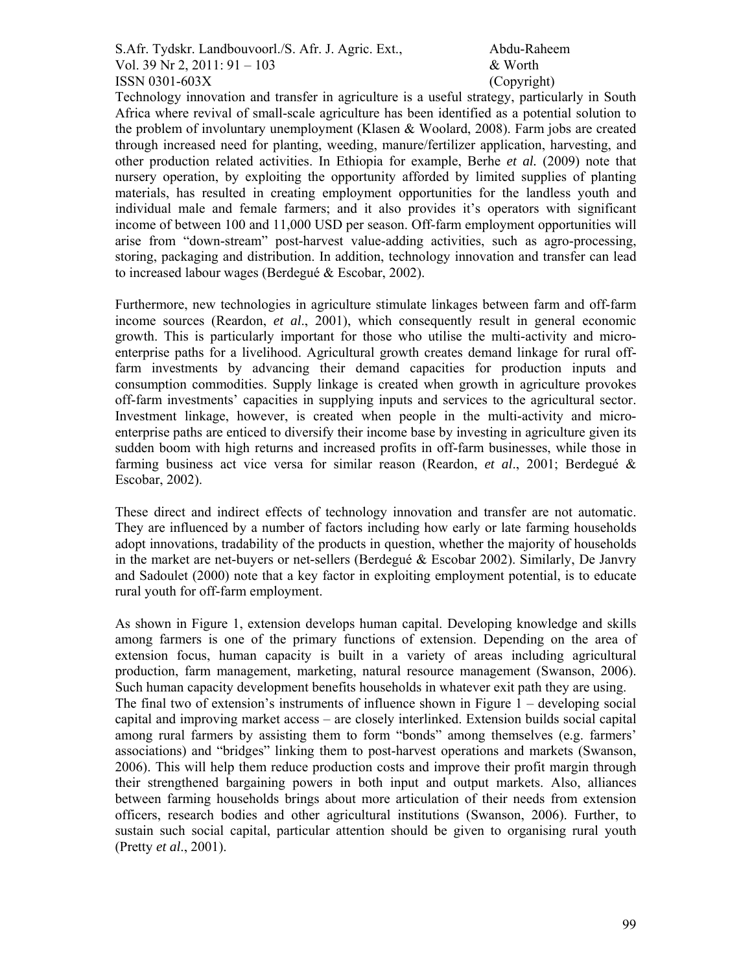S.Afr. Tydskr. Landbouvoorl./S. Afr. J. Agric. Ext., Abdu-Raheem Vol. 39 Nr 2, 2011:  $91 - 103$  & Worth ISSN 0301-603X (Copyright)

Technology innovation and transfer in agriculture is a useful strategy, particularly in South Africa where revival of small-scale agriculture has been identified as a potential solution to the problem of involuntary unemployment (Klasen & Woolard, 2008). Farm jobs are created through increased need for planting, weeding, manure/fertilizer application, harvesting, and other production related activities. In Ethiopia for example, Berhe *et al.* (2009) note that nursery operation, by exploiting the opportunity afforded by limited supplies of planting materials, has resulted in creating employment opportunities for the landless youth and individual male and female farmers; and it also provides it's operators with significant income of between 100 and 11,000 USD per season. Off-farm employment opportunities will arise from "down-stream" post-harvest value-adding activities, such as agro-processing, storing, packaging and distribution. In addition, technology innovation and transfer can lead to increased labour wages (Berdegué & Escobar, 2002).

Furthermore, new technologies in agriculture stimulate linkages between farm and off-farm income sources (Reardon, *et al*., 2001), which consequently result in general economic growth. This is particularly important for those who utilise the multi-activity and microenterprise paths for a livelihood. Agricultural growth creates demand linkage for rural offfarm investments by advancing their demand capacities for production inputs and consumption commodities. Supply linkage is created when growth in agriculture provokes off-farm investments' capacities in supplying inputs and services to the agricultural sector. Investment linkage, however, is created when people in the multi-activity and microenterprise paths are enticed to diversify their income base by investing in agriculture given its sudden boom with high returns and increased profits in off-farm businesses, while those in farming business act vice versa for similar reason (Reardon, *et al*., 2001; Berdegué & Escobar, 2002).

These direct and indirect effects of technology innovation and transfer are not automatic. They are influenced by a number of factors including how early or late farming households adopt innovations, tradability of the products in question, whether the majority of households in the market are net-buyers or net-sellers (Berdegué & Escobar 2002). Similarly, De Janvry and Sadoulet (2000) note that a key factor in exploiting employment potential, is to educate rural youth for off-farm employment.

As shown in Figure 1, extension develops human capital. Developing knowledge and skills among farmers is one of the primary functions of extension. Depending on the area of extension focus, human capacity is built in a variety of areas including agricultural production, farm management, marketing, natural resource management (Swanson, 2006). Such human capacity development benefits households in whatever exit path they are using. The final two of extension's instruments of influence shown in Figure  $1 -$  developing social capital and improving market access – are closely interlinked. Extension builds social capital among rural farmers by assisting them to form "bonds" among themselves (e.g. farmers' associations) and "bridges" linking them to post-harvest operations and markets (Swanson, 2006). This will help them reduce production costs and improve their profit margin through their strengthened bargaining powers in both input and output markets. Also, alliances between farming households brings about more articulation of their needs from extension officers, research bodies and other agricultural institutions (Swanson, 2006). Further, to sustain such social capital, particular attention should be given to organising rural youth (Pretty *et al*., 2001).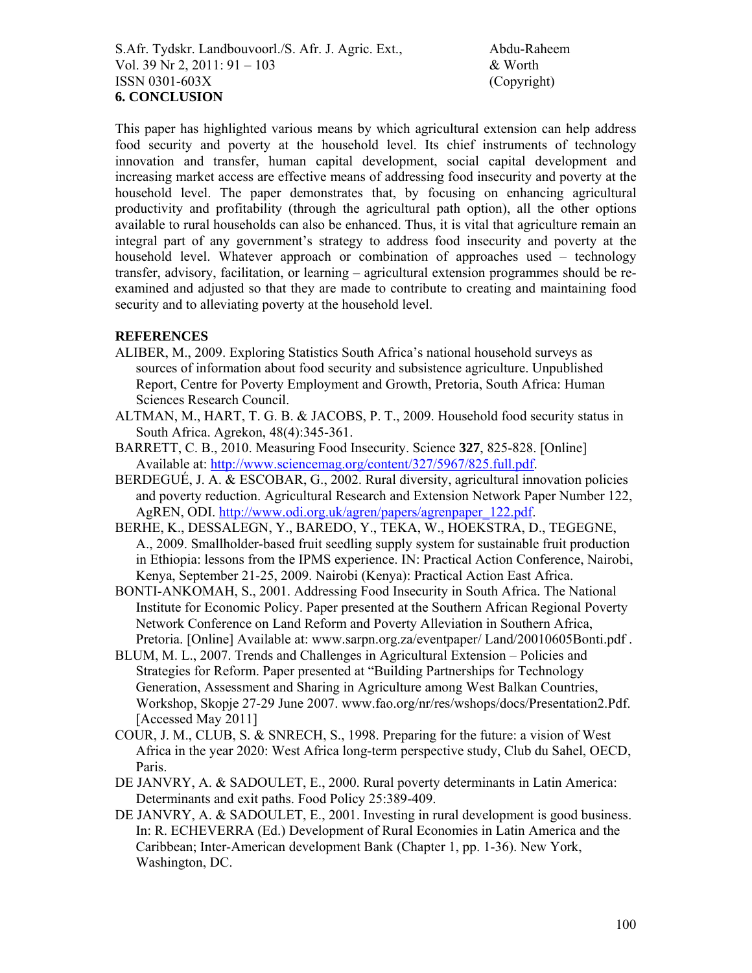This paper has highlighted various means by which agricultural extension can help address food security and poverty at the household level. Its chief instruments of technology innovation and transfer, human capital development, social capital development and increasing market access are effective means of addressing food insecurity and poverty at the household level. The paper demonstrates that, by focusing on enhancing agricultural productivity and profitability (through the agricultural path option), all the other options available to rural households can also be enhanced. Thus, it is vital that agriculture remain an integral part of any government's strategy to address food insecurity and poverty at the household level. Whatever approach or combination of approaches used – technology transfer, advisory, facilitation, or learning – agricultural extension programmes should be reexamined and adjusted so that they are made to contribute to creating and maintaining food security and to alleviating poverty at the household level.

### **REFERENCES**

- ALIBER, M., 2009. Exploring Statistics South Africa's national household surveys as sources of information about food security and subsistence agriculture. Unpublished Report, Centre for Poverty Employment and Growth, Pretoria, South Africa: Human Sciences Research Council.
- ALTMAN, M., HART, T. G. B. & JACOBS, P. T., 2009. Household food security status in South Africa. Agrekon, 48(4):345-361.
- BARRETT, C. B., 2010. Measuring Food Insecurity. Science **327**, 825-828. [Online] Available at: http://www.sciencemag.org/content/327/5967/825.full.pdf.
- BERDEGUÉ, J. A. & ESCOBAR, G., 2002. Rural diversity, agricultural innovation policies and poverty reduction. Agricultural Research and Extension Network Paper Number 122, AgREN, ODI. http://www.odi.org.uk/agren/papers/agrenpaper\_122.pdf.
- BERHE, K., DESSALEGN, Y., BAREDO, Y., TEKA, W., HOEKSTRA, D., TEGEGNE, A., 2009. Smallholder-based fruit seedling supply system for sustainable fruit production in Ethiopia: lessons from the IPMS experience. IN: Practical Action Conference, Nairobi, Kenya, September 21-25, 2009. Nairobi (Kenya): Practical Action East Africa.
- BONTI-ANKOMAH, S., 2001. Addressing Food Insecurity in South Africa. The National Institute for Economic Policy. Paper presented at the Southern African Regional Poverty Network Conference on Land Reform and Poverty Alleviation in Southern Africa, Pretoria. [Online] Available at: www.sarpn.org.za/eventpaper/ Land/20010605Bonti.pdf .
- BLUM, M. L., 2007. Trends and Challenges in Agricultural Extension Policies and Strategies for Reform. Paper presented at "Building Partnerships for Technology Generation, Assessment and Sharing in Agriculture among West Balkan Countries, Workshop, Skopje 27-29 June 2007. www.fao.org/nr/res/wshops/docs/Presentation2.Pdf. [Accessed May 2011]
- COUR, J. M., CLUB, S. & SNRECH, S., 1998. Preparing for the future: a vision of West Africa in the year 2020: West Africa long-term perspective study, Club du Sahel, OECD, Paris.
- DE JANVRY, A. & SADOULET, E., 2000. Rural poverty determinants in Latin America: Determinants and exit paths. Food Policy 25:389-409.
- DE JANVRY, A. & SADOULET, E., 2001. Investing in rural development is good business. In: R. ECHEVERRA (Ed.) Development of Rural Economies in Latin America and the Caribbean; Inter-American development Bank (Chapter 1, pp. 1-36). New York, Washington, DC.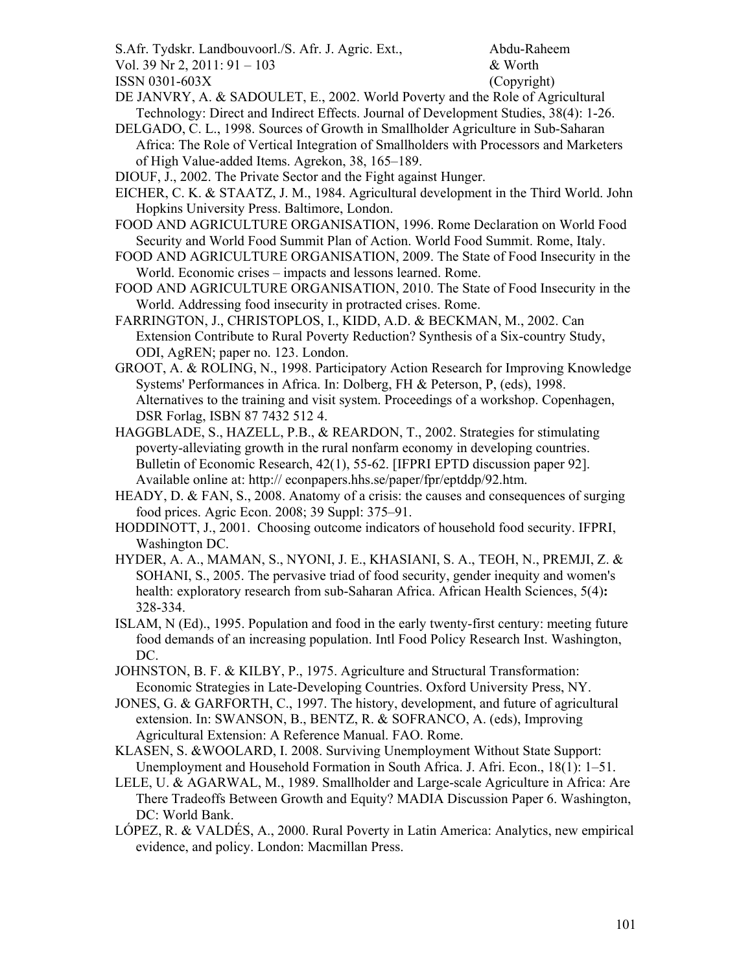- S.Afr. Tydskr. Landbouvoorl./S. Afr. J. Agric. Ext., Abdu-Raheem
- Vol. 39 Nr 2, 2011: 91 103  $\&$  Worth

ISSN 0301-603X (Copyright)

- DE JANVRY, A. & SADOULET, E., 2002. World Poverty and the Role of Agricultural Technology: Direct and Indirect Effects. Journal of Development Studies, 38(4): 1-26.
- DELGADO, C. L., 1998. Sources of Growth in Smallholder Agriculture in Sub-Saharan Africa: The Role of Vertical Integration of Smallholders with Processors and Marketers of High Value-added Items. Agrekon, 38, 165–189.
- DIOUF, J., 2002. The Private Sector and the Fight against Hunger.

EICHER, C. K. & STAATZ, J. M., 1984. Agricultural development in the Third World. John Hopkins University Press. Baltimore, London.

- FOOD AND AGRICULTURE ORGANISATION, 1996. Rome Declaration on World Food Security and World Food Summit Plan of Action. World Food Summit. Rome, Italy.
- FOOD AND AGRICULTURE ORGANISATION, 2009. The State of Food Insecurity in the World. Economic crises – impacts and lessons learned. Rome.
- FOOD AND AGRICULTURE ORGANISATION, 2010. The State of Food Insecurity in the World. Addressing food insecurity in protracted crises. Rome.
- FARRINGTON, J., CHRISTOPLOS, I., KIDD, A.D. & BECKMAN, M., 2002. Can Extension Contribute to Rural Poverty Reduction? Synthesis of a Six-country Study, ODI, AgREN; paper no. 123. London.
- GROOT, A. & ROLING, N., 1998. Participatory Action Research for Improving Knowledge Systems' Performances in Africa. In: Dolberg, FH & Peterson, P, (eds), 1998. Alternatives to the training and visit system. Proceedings of a workshop. Copenhagen, DSR Forlag, ISBN 87 7432 512 4.
- HAGGBLADE, S., HAZELL, P.B., & REARDON, T., 2002. Strategies for stimulating poverty-alleviating growth in the rural nonfarm economy in developing countries. Bulletin of Economic Research, 42(1), 55-62. [IFPRI EPTD discussion paper 92]. Available online at: http:// econpapers.hhs.se/paper/fpr/eptddp/92.htm.
- HEADY, D. & FAN, S., 2008. Anatomy of a crisis: the causes and consequences of surging food prices. Agric Econ. 2008; 39 Suppl: 375–91.
- HODDINOTT, J., 2001. Choosing outcome indicators of household food security. IFPRI, Washington DC.
- HYDER, A. A., MAMAN, S., NYONI, J. E., KHASIANI, S. A., TEOH, N., PREMJI, Z. & SOHANI, S., 2005. The pervasive triad of food security, gender inequity and women's health: exploratory research from sub-Saharan Africa. African Health Sciences, 5(4)**:** 328-334.
- ISLAM, N (Ed)., 1995. Population and food in the early twenty-first century: meeting future food demands of an increasing population. Intl Food Policy Research Inst. Washington, DC.
- JOHNSTON, B. F. & KILBY, P., 1975. Agriculture and Structural Transformation: Economic Strategies in Late-Developing Countries. Oxford University Press, NY.
- JONES, G. & GARFORTH, C., 1997. The history, development, and future of agricultural extension. In: SWANSON, B., BENTZ, R. & SOFRANCO, A. (eds), Improving Agricultural Extension: A Reference Manual. FAO. Rome.
- KLASEN, S. &WOOLARD, I. 2008. Surviving Unemployment Without State Support: Unemployment and Household Formation in South Africa. J. Afri. Econ., 18(1): 1–51.
- LELE, U. & AGARWAL, M., 1989. Smallholder and Large-scale Agriculture in Africa: Are There Tradeoffs Between Growth and Equity? MADIA Discussion Paper 6. Washington, DC: World Bank.
- LÓPEZ, R. & VALDÉS, A., 2000. Rural Poverty in Latin America: Analytics, new empirical evidence, and policy. London: Macmillan Press.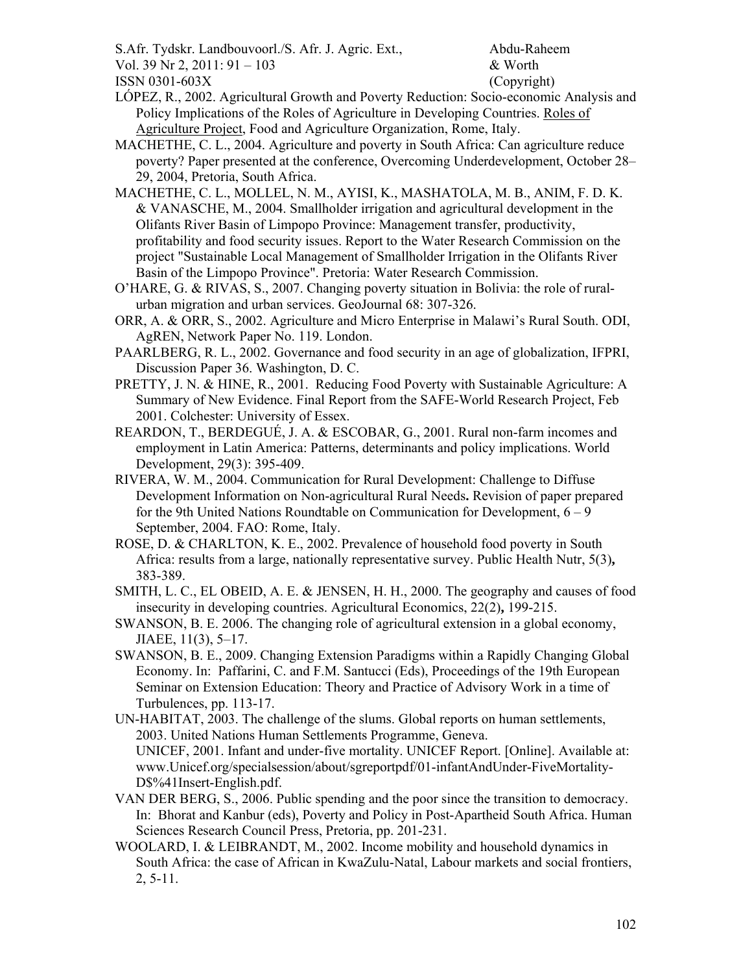S.Afr. Tydskr. Landbouvoorl./S. Afr. J. Agric. Ext., Abdu-Raheem

Vol. 39 Nr 2, 2011:  $91 - 103$  & Worth

ISSN 0301-603X (Copyright)

LÓPEZ, R., 2002. Agricultural Growth and Poverty Reduction: Socio-economic Analysis and Policy Implications of the Roles of Agriculture in Developing Countries. Roles of Agriculture Project, Food and Agriculture Organization, Rome, Italy.

MACHETHE, C. L., 2004. Agriculture and poverty in South Africa: Can agriculture reduce poverty? Paper presented at the conference, Overcoming Underdevelopment, October 28– 29, 2004, Pretoria, South Africa.

- MACHETHE, C. L., MOLLEL, N. M., AYISI, K., MASHATOLA, M. B., ANIM, F. D. K. & VANASCHE, M., 2004. Smallholder irrigation and agricultural development in the Olifants River Basin of Limpopo Province: Management transfer, productivity, profitability and food security issues. Report to the Water Research Commission on the project "Sustainable Local Management of Smallholder Irrigation in the Olifants River Basin of the Limpopo Province". Pretoria: Water Research Commission.
- O'HARE, G. & RIVAS, S., 2007. Changing poverty situation in Bolivia: the role of ruralurban migration and urban services. GeoJournal 68: 307-326.
- ORR, A. & ORR, S., 2002. Agriculture and Micro Enterprise in Malawi's Rural South. ODI, AgREN, Network Paper No. 119. London.
- PAARLBERG, R. L., 2002. Governance and food security in an age of globalization, IFPRI, Discussion Paper 36. Washington, D. C.
- PRETTY, J. N. & HINE, R., 2001. Reducing Food Poverty with Sustainable Agriculture: A Summary of New Evidence. Final Report from the SAFE-World Research Project, Feb 2001. Colchester: University of Essex.
- REARDON, T., BERDEGUÉ, J. A. & ESCOBAR, G., 2001. Rural non-farm incomes and employment in Latin America: Patterns, determinants and policy implications. World Development, 29(3): 395-409.
- RIVERA, W. M., 2004. Communication for Rural Development: Challenge to Diffuse Development Information on Non-agricultural Rural Needs**.** Revision of paper prepared for the 9th United Nations Roundtable on Communication for Development, 6 – 9 September, 2004. FAO: Rome, Italy.
- ROSE, D. & CHARLTON, K. E., 2002. Prevalence of household food poverty in South Africa: results from a large, nationally representative survey. Public Health Nutr, 5(3)**,** 383-389.
- SMITH, L. C., EL OBEID, A. E. & JENSEN, H. H., 2000. The geography and causes of food insecurity in developing countries. Agricultural Economics, 22(2)**,** 199-215.
- SWANSON, B. E. 2006. The changing role of agricultural extension in a global economy, JIAEE, 11(3), 5–17.
- SWANSON, B. E., 2009. Changing Extension Paradigms within a Rapidly Changing Global Economy. In: Paffarini, C. and F.M. Santucci (Eds), Proceedings of the 19th European Seminar on Extension Education: Theory and Practice of Advisory Work in a time of Turbulences, pp. 113-17.

UN-HABITAT, 2003. The challenge of the slums. Global reports on human settlements, 2003. United Nations Human Settlements Programme, Geneva. UNICEF, 2001. Infant and under-five mortality. UNICEF Report. [Online]. Available at: www.Unicef.org/specialsession/about/sgreportpdf/01-infantAndUnder-FiveMortality-D\$%41Insert-English.pdf.

- VAN DER BERG, S., 2006. Public spending and the poor since the transition to democracy. In: Bhorat and Kanbur (eds), Poverty and Policy in Post-Apartheid South Africa. Human Sciences Research Council Press, Pretoria, pp. 201-231.
- WOOLARD, I. & LEIBRANDT, M., 2002. Income mobility and household dynamics in South Africa: the case of African in KwaZulu-Natal, Labour markets and social frontiers, 2, 5-11.